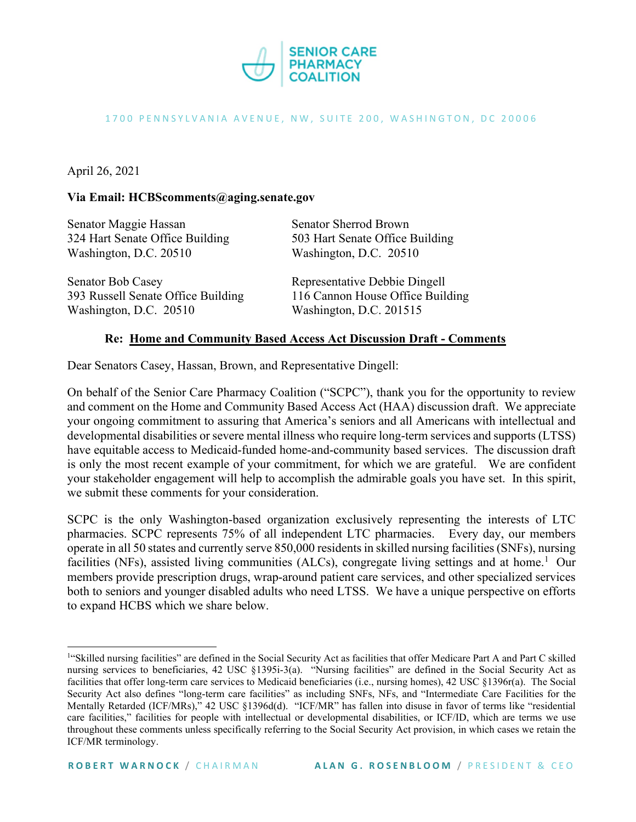

#### 1700 PENNSYLVANIA AVENUE, NW, SUITE 200, WASHINGTON, DC 20006

## April 26, 2021

#### **Via Email: HCBScomments@aging.senate.gov**

| Senator Maggie Hassan              | <b>Senator Sherrod Brown</b>     |
|------------------------------------|----------------------------------|
| 324 Hart Senate Office Building    | 503 Hart Senate Office Building  |
| Washington, D.C. 20510             | Washington, D.C. 20510           |
| Senator Bob Casey                  | Representative Debbie Dingell    |
| 393 Russell Senate Office Building | 116 Cannon House Office Building |
| Washington, D.C. 20510             | Washington, D.C. 201515          |

#### **Re: Home and Community Based Access Act Discussion Draft - Comments**

Dear Senators Casey, Hassan, Brown, and Representative Dingell:

On behalf of the Senior Care Pharmacy Coalition ("SCPC"), thank you for the opportunity to review and comment on the Home and Community Based Access Act (HAA) discussion draft. We appreciate your ongoing commitment to assuring that America's seniors and all Americans with intellectual and developmental disabilities or severe mental illness who require long-term services and supports (LTSS) have equitable access to Medicaid-funded home-and-community based services. The discussion draft is only the most recent example of your commitment, for which we are grateful. We are confident your stakeholder engagement will help to accomplish the admirable goals you have set. In this spirit, we submit these comments for your consideration.

SCPC is the only Washington-based organization exclusively representing the interests of LTC pharmacies. SCPC represents 75% of all independent LTC pharmacies. Every day, our members operate in all 50 states and currently serve 850,000 residents in skilled nursing facilities (SNFs), nursing facilities (NFs), assisted living communities (ALCs), congregate living settings and at home.<sup>[1](#page-0-0)</sup> Our members provide prescription drugs, wrap-around patient care services, and other specialized services both to seniors and younger disabled adults who need LTSS. We have a unique perspective on efforts to expand HCBS which we share below.

<span id="page-0-0"></span><sup>&</sup>lt;sup>1</sup>"Skilled nursing facilities" are defined in the Social Security Act as facilities that offer Medicare Part A and Part C skilled nursing services to beneficiaries, 42 USC §1395i-3(a). "Nursing facilities" are defined in the Social Security Act as facilities that offer long-term care services to Medicaid beneficiaries (i.e., nursing homes), 42 USC §1396r(a). The Social Security Act also defines "long-term care facilities" as including SNFs, NFs, and "Intermediate Care Facilities for the Mentally Retarded (ICF/MRs)," 42 USC §1396d(d). "ICF/MR" has fallen into disuse in favor of terms like "residential care facilities," facilities for people with intellectual or developmental disabilities, or ICF/ID, which are terms we use throughout these comments unless specifically referring to the Social Security Act provision, in which cases we retain the ICF/MR terminology.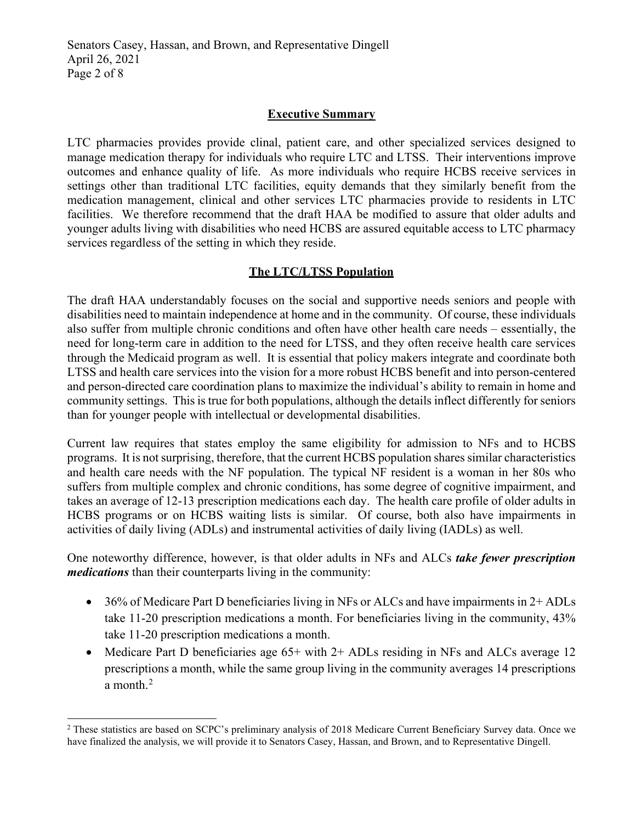Senators Casey, Hassan, and Brown, and Representative Dingell April 26, 2021 Page 2 of 8

## **Executive Summary**

LTC pharmacies provides provide clinal, patient care, and other specialized services designed to manage medication therapy for individuals who require LTC and LTSS. Their interventions improve outcomes and enhance quality of life. As more individuals who require HCBS receive services in settings other than traditional LTC facilities, equity demands that they similarly benefit from the medication management, clinical and other services LTC pharmacies provide to residents in LTC facilities. We therefore recommend that the draft HAA be modified to assure that older adults and younger adults living with disabilities who need HCBS are assured equitable access to LTC pharmacy services regardless of the setting in which they reside.

### **The LTC/LTSS Population**

The draft HAA understandably focuses on the social and supportive needs seniors and people with disabilities need to maintain independence at home and in the community. Of course, these individuals also suffer from multiple chronic conditions and often have other health care needs – essentially, the need for long-term care in addition to the need for LTSS, and they often receive health care services through the Medicaid program as well. It is essential that policy makers integrate and coordinate both LTSS and health care services into the vision for a more robust HCBS benefit and into person-centered and person-directed care coordination plans to maximize the individual's ability to remain in home and community settings. This is true for both populations, although the details inflect differently for seniors than for younger people with intellectual or developmental disabilities.

Current law requires that states employ the same eligibility for admission to NFs and to HCBS programs. It is not surprising, therefore, that the current HCBS population shares similar characteristics and health care needs with the NF population. The typical NF resident is a woman in her 80s who suffers from multiple complex and chronic conditions, has some degree of cognitive impairment, and takes an average of 12-13 prescription medications each day. The health care profile of older adults in HCBS programs or on HCBS waiting lists is similar. Of course, both also have impairments in activities of daily living (ADLs) and instrumental activities of daily living (IADLs) as well.

One noteworthy difference, however, is that older adults in NFs and ALCs *take fewer prescription medications* than their counterparts living in the community:

- 36% of Medicare Part D beneficiaries living in NFs or ALCs and have impairments in 2+ ADLs take 11-20 prescription medications a month. For beneficiaries living in the community, 43% take 11-20 prescription medications a month.
- Medicare Part D beneficiaries age 65+ with 2+ ADLs residing in NFs and ALCs average 12 prescriptions a month, while the same group living in the community averages 14 prescriptions a month. $^2$  $^2$

<span id="page-1-0"></span><sup>&</sup>lt;sup>2</sup> These statistics are based on SCPC's preliminary analysis of 2018 Medicare Current Beneficiary Survey data. Once we have finalized the analysis, we will provide it to Senators Casey, Hassan, and Brown, and to Representative Dingell.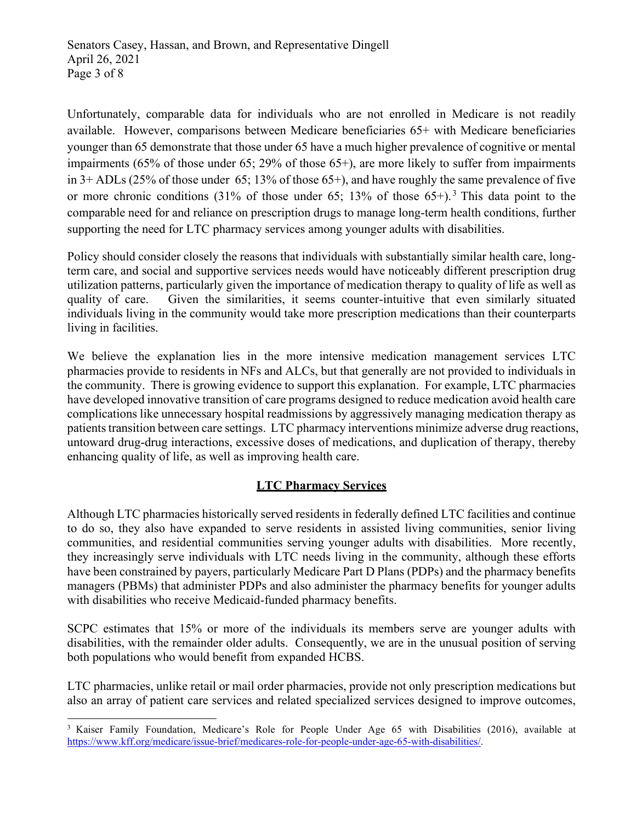Unfortunately, comparable data for individuals who are not enrolled in Medicare is not readily available. However, comparisons between Medicare beneficiaries 65+ with Medicare beneficiaries younger than 65 demonstrate that those under 65 have a much higher prevalence of cognitive or mental impairments (65% of those under 65; 29% of those 65+), are more likely to suffer from impairments in 3+ ADLs (25% of those under 65; 13% of those 65+), and have roughly the same prevalence of five or more chronic conditions ([3](#page-2-0)1% of those under 65; 13% of those 65+).<sup>3</sup> This data point to the comparable need for and reliance on prescription drugs to manage long-term health conditions, further supporting the need for LTC pharmacy services among younger adults with disabilities.

Policy should consider closely the reasons that individuals with substantially similar health care, longterm care, and social and supportive services needs would have noticeably different prescription drug utilization patterns, particularly given the importance of medication therapy to quality of life as well as quality of care. Given the similarities, it seems counter-intuitive that even similarly situated individuals living in the community would take more prescription medications than their counterparts living in facilities.

We believe the explanation lies in the more intensive medication management services LTC pharmacies provide to residents in NFs and ALCs, but that generally are not provided to individuals in the community. There is growing evidence to support this explanation. For example, LTC pharmacies have developed innovative transition of care programs designed to reduce medication avoid health care complications like unnecessary hospital readmissions by aggressively managing medication therapy as patients transition between care settings. LTC pharmacy interventions minimize adverse drug reactions, untoward drug-drug interactions, excessive doses of medications, and duplication of therapy, thereby enhancing quality of life, as well as improving health care.

# **LTC Pharmacy Services**

Although LTC pharmacies historically served residents in federally defined LTC facilities and continue to do so, they also have expanded to serve residents in assisted living communities, senior living communities, and residential communities serving younger adults with disabilities. More recently, they increasingly serve individuals with LTC needs living in the community, although these efforts have been constrained by payers, particularly Medicare Part D Plans (PDPs) and the pharmacy benefits managers (PBMs) that administer PDPs and also administer the pharmacy benefits for younger adults with disabilities who receive Medicaid-funded pharmacy benefits.

SCPC estimates that 15% or more of the individuals its members serve are younger adults with disabilities, with the remainder older adults. Consequently, we are in the unusual position of serving both populations who would benefit from expanded HCBS.

LTC pharmacies, unlike retail or mail order pharmacies, provide not only prescription medications but also an array of patient care services and related specialized services designed to improve outcomes,

<span id="page-2-0"></span><sup>&</sup>lt;sup>3</sup> Kaiser Family Foundation, Medicare's Role for People Under Age 65 with Disabilities (2016), available at [https://www.kff.org/medicare/issue-brief/medicares-role-for-people-under-age-65-with-disabilities/.](https://www.kff.org/medicare/issue-brief/medicares-role-for-people-under-age-65-with-disabilities/)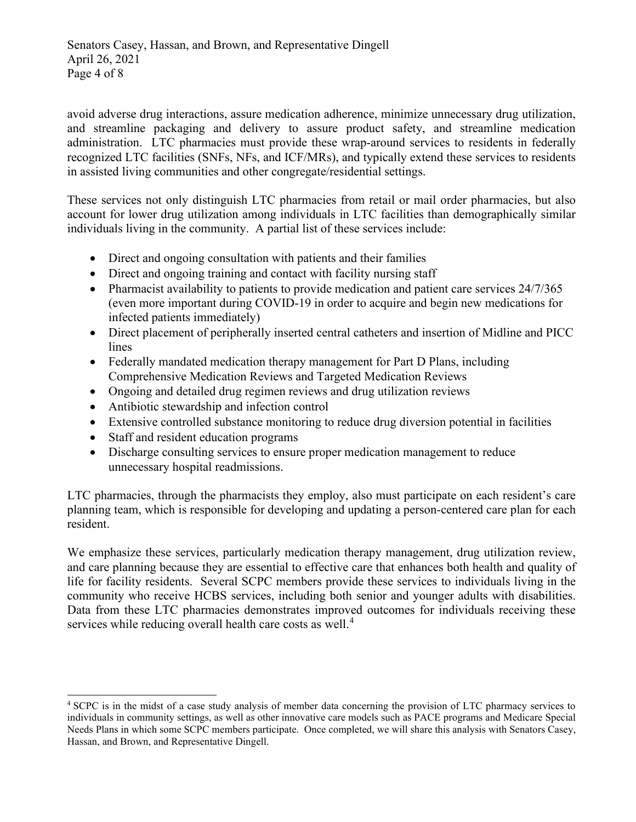Senators Casey, Hassan, and Brown, and Representative Dingell April 26, 2021 Page 4 of 8

avoid adverse drug interactions, assure medication adherence, minimize unnecessary drug utilization, and streamline packaging and delivery to assure product safety, and streamline medication administration. LTC pharmacies must provide these wrap-around services to residents in federally recognized LTC facilities (SNFs, NFs, and ICF/MRs), and typically extend these services to residents in assisted living communities and other congregate/residential settings.

These services not only distinguish LTC pharmacies from retail or mail order pharmacies, but also account for lower drug utilization among individuals in LTC facilities than demographically similar individuals living in the community. A partial list of these services include:

- Direct and ongoing consultation with patients and their families
- Direct and ongoing training and contact with facility nursing staff
- Pharmacist availability to patients to provide medication and patient care services 24/7/365 (even more important during COVID-19 in order to acquire and begin new medications for infected patients immediately)
- Direct placement of peripherally inserted central catheters and insertion of Midline and PICC lines
- Federally mandated medication therapy management for Part D Plans, including Comprehensive Medication Reviews and Targeted Medication Reviews
- Ongoing and detailed drug regimen reviews and drug utilization reviews
- Antibiotic stewardship and infection control
- Extensive controlled substance monitoring to reduce drug diversion potential in facilities
- Staff and resident education programs
- Discharge consulting services to ensure proper medication management to reduce unnecessary hospital readmissions.

LTC pharmacies, through the pharmacists they employ, also must participate on each resident's care planning team, which is responsible for developing and updating a person-centered care plan for each resident.

We emphasize these services, particularly medication therapy management, drug utilization review, and care planning because they are essential to effective care that enhances both health and quality of life for facility residents. Several SCPC members provide these services to individuals living in the community who receive HCBS services, including both senior and younger adults with disabilities. Data from these LTC pharmacies demonstrates improved outcomes for individuals receiving these services while reducing overall health care costs as well.<sup>[4](#page-3-0)</sup>

<span id="page-3-0"></span><sup>4</sup> SCPC is in the midst of a case study analysis of member data concerning the provision of LTC pharmacy services to individuals in community settings, as well as other innovative care models such as PACE programs and Medicare Special Needs Plans in which some SCPC members participate. Once completed, we will share this analysis with Senators Casey, Hassan, and Brown, and Representative Dingell.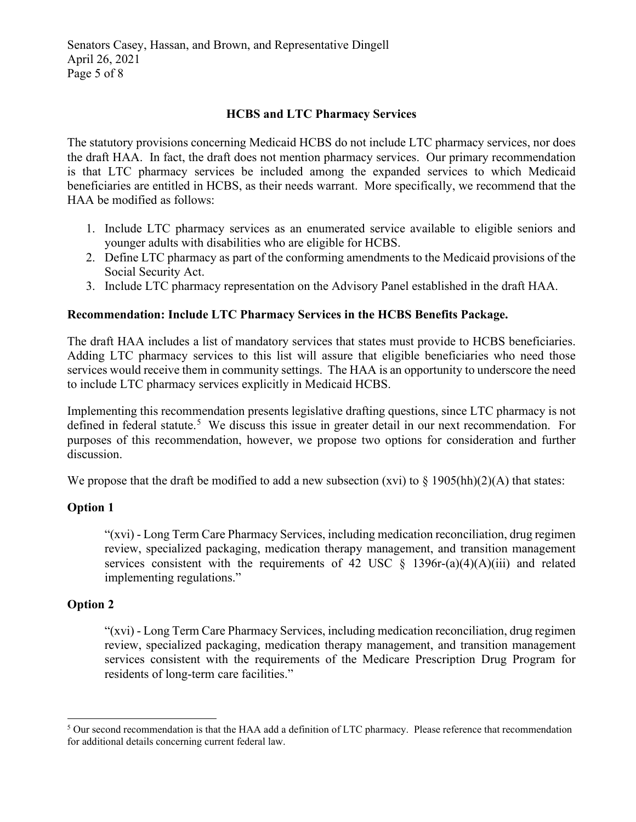Senators Casey, Hassan, and Brown, and Representative Dingell April 26, 2021 Page 5 of 8

# **HCBS and LTC Pharmacy Services**

The statutory provisions concerning Medicaid HCBS do not include LTC pharmacy services, nor does the draft HAA. In fact, the draft does not mention pharmacy services. Our primary recommendation is that LTC pharmacy services be included among the expanded services to which Medicaid beneficiaries are entitled in HCBS, as their needs warrant. More specifically, we recommend that the HAA be modified as follows:

- 1. Include LTC pharmacy services as an enumerated service available to eligible seniors and younger adults with disabilities who are eligible for HCBS.
- 2. Define LTC pharmacy as part of the conforming amendments to the Medicaid provisions of the Social Security Act.
- 3. Include LTC pharmacy representation on the Advisory Panel established in the draft HAA.

### **Recommendation: Include LTC Pharmacy Services in the HCBS Benefits Package.**

The draft HAA includes a list of mandatory services that states must provide to HCBS beneficiaries. Adding LTC pharmacy services to this list will assure that eligible beneficiaries who need those services would receive them in community settings. The HAA is an opportunity to underscore the need to include LTC pharmacy services explicitly in Medicaid HCBS.

Implementing this recommendation presents legislative drafting questions, since LTC pharmacy is not defined in federal statute.<sup>[5](#page-4-0)</sup> We discuss this issue in greater detail in our next recommendation. For purposes of this recommendation, however, we propose two options for consideration and further discussion.

We propose that the draft be modified to add a new subsection (xvi) to  $\S$  1905(hh)(2)(A) that states:

### **Option 1**

"(xvi) - Long Term Care Pharmacy Services, including medication reconciliation, drug regimen review, specialized packaging, medication therapy management, and transition management services consistent with the requirements of 42 USC  $\S$  1396r-(a)(4)(A)(iii) and related implementing regulations."

### **Option 2**

"(xvi) - Long Term Care Pharmacy Services, including medication reconciliation, drug regimen review, specialized packaging, medication therapy management, and transition management services consistent with the requirements of the Medicare Prescription Drug Program for residents of long-term care facilities."

<span id="page-4-0"></span><sup>&</sup>lt;sup>5</sup> Our second recommendation is that the HAA add a definition of LTC pharmacy. Please reference that recommendation for additional details concerning current federal law.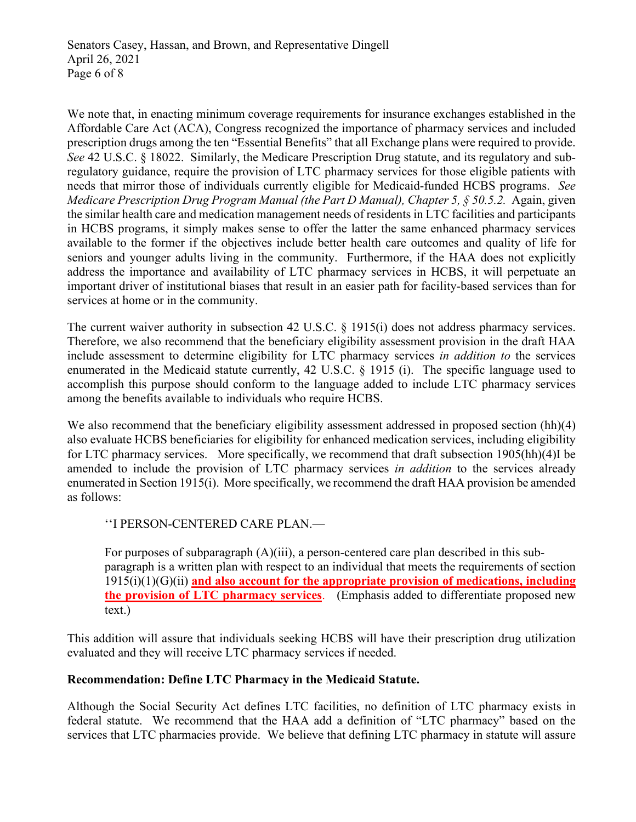We note that, in enacting minimum coverage requirements for insurance exchanges established in the Affordable Care Act (ACA), Congress recognized the importance of pharmacy services and included prescription drugs among the ten "Essential Benefits" that all Exchange plans were required to provide. *See* 42 U.S.C. § 18022. Similarly, the Medicare Prescription Drug statute, and its regulatory and subregulatory guidance, require the provision of LTC pharmacy services for those eligible patients with needs that mirror those of individuals currently eligible for Medicaid-funded HCBS programs. *See Medicare Prescription Drug Program Manual (the Part D Manual), Chapter 5, § 50.5.2.* Again, given the similar health care and medication management needs of residents in LTC facilities and participants in HCBS programs, it simply makes sense to offer the latter the same enhanced pharmacy services available to the former if the objectives include better health care outcomes and quality of life for seniors and younger adults living in the community. Furthermore, if the HAA does not explicitly address the importance and availability of LTC pharmacy services in HCBS, it will perpetuate an important driver of institutional biases that result in an easier path for facility-based services than for services at home or in the community.

The current waiver authority in subsection 42 U.S.C. § 1915(i) does not address pharmacy services. Therefore, we also recommend that the beneficiary eligibility assessment provision in the draft HAA include assessment to determine eligibility for LTC pharmacy services *in addition to* the services enumerated in the Medicaid statute currently, 42 U.S.C. § 1915 (i). The specific language used to accomplish this purpose should conform to the language added to include LTC pharmacy services among the benefits available to individuals who require HCBS.

We also recommend that the beneficiary eligibility assessment addressed in proposed section (hh)(4) also evaluate HCBS beneficiaries for eligibility for enhanced medication services, including eligibility for LTC pharmacy services. More specifically, we recommend that draft subsection 1905(hh)(4)I be amended to include the provision of LTC pharmacy services *in addition* to the services already enumerated in Section 1915(i). More specifically, we recommend the draft HAA provision be amended as follows:

''I PERSON-CENTERED CARE PLAN.—

For purposes of subparagraph  $(A)(iii)$ , a person-centered care plan described in this subparagraph is a written plan with respect to an individual that meets the requirements of section 1915(i)(1)(G)(ii) **and also account for the appropriate provision of medications, including the provision of LTC pharmacy services**. (Emphasis added to differentiate proposed new text.)

This addition will assure that individuals seeking HCBS will have their prescription drug utilization evaluated and they will receive LTC pharmacy services if needed.

# **Recommendation: Define LTC Pharmacy in the Medicaid Statute.**

Although the Social Security Act defines LTC facilities, no definition of LTC pharmacy exists in federal statute. We recommend that the HAA add a definition of "LTC pharmacy" based on the services that LTC pharmacies provide. We believe that defining LTC pharmacy in statute will assure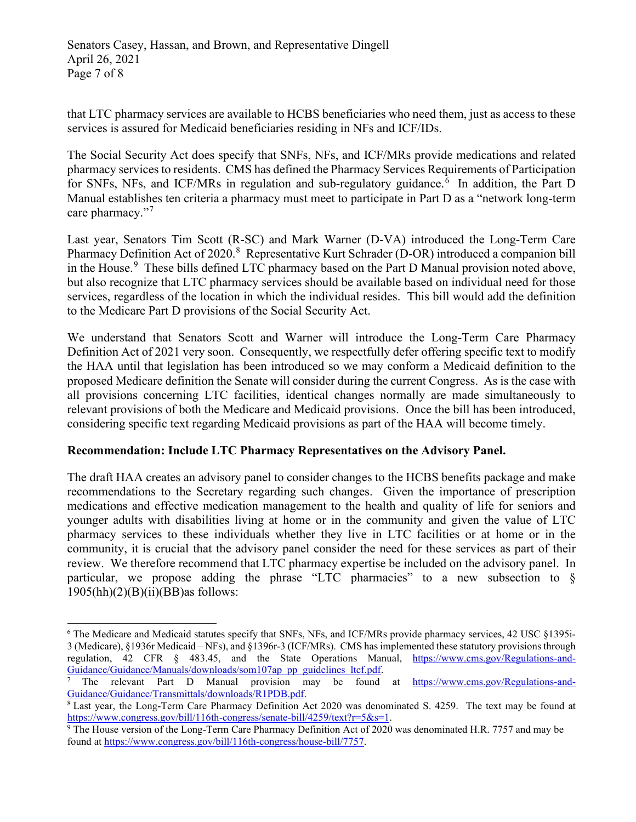that LTC pharmacy services are available to HCBS beneficiaries who need them, just as access to these services is assured for Medicaid beneficiaries residing in NFs and ICF/IDs.

The Social Security Act does specify that SNFs, NFs, and ICF/MRs provide medications and related pharmacy services to residents. CMS has defined the Pharmacy Services Requirements of Participation for SNFs, NFs, and ICF/MRs in regulation and sub-regulatory guidance.<sup>[6](#page-6-0)</sup> In addition, the Part D Manual establishes ten criteria a pharmacy must meet to participate in Part D as a "network long-term care pharmacy."<sup>[7](#page-6-1)</sup>

Last year, Senators Tim Scott (R-SC) and Mark Warner (D-VA) introduced the Long-Term Care Pharmacy Definition Act of 2020.<sup>[8](#page-6-2)</sup> Representative Kurt Schrader (D-OR) introduced a companion bill in the House.<sup>[9](#page-6-3)</sup> These bills defined LTC pharmacy based on the Part D Manual provision noted above, but also recognize that LTC pharmacy services should be available based on individual need for those services, regardless of the location in which the individual resides. This bill would add the definition to the Medicare Part D provisions of the Social Security Act.

We understand that Senators Scott and Warner will introduce the Long-Term Care Pharmacy Definition Act of 2021 very soon. Consequently, we respectfully defer offering specific text to modify the HAA until that legislation has been introduced so we may conform a Medicaid definition to the proposed Medicare definition the Senate will consider during the current Congress. As is the case with all provisions concerning LTC facilities, identical changes normally are made simultaneously to relevant provisions of both the Medicare and Medicaid provisions. Once the bill has been introduced, considering specific text regarding Medicaid provisions as part of the HAA will become timely.

# **Recommendation: Include LTC Pharmacy Representatives on the Advisory Panel.**

The draft HAA creates an advisory panel to consider changes to the HCBS benefits package and make recommendations to the Secretary regarding such changes. Given the importance of prescription medications and effective medication management to the health and quality of life for seniors and younger adults with disabilities living at home or in the community and given the value of LTC pharmacy services to these individuals whether they live in LTC facilities or at home or in the community, it is crucial that the advisory panel consider the need for these services as part of their review. We therefore recommend that LTC pharmacy expertise be included on the advisory panel. In particular, we propose adding the phrase "LTC pharmacies" to a new subsection to  $\delta$  $1905(hh)(2)(B)(ii)(BB)$ as follows:

<span id="page-6-0"></span><sup>6</sup> The Medicare and Medicaid statutes specify that SNFs, NFs, and ICF/MRs provide pharmacy services, 42 USC §1395i-3 (Medicare), §1936r Medicaid – NFs), and §1396r-3 (ICF/MRs). CMS has implemented these statutory provisions through regulation, 42 CFR § 483.45, and the State Operations Manual, [https://www.cms.gov/Regulations-and-](https://www.cms.gov/Regulations-and-Guidance/Guidance/Manuals/downloads/som107ap_pp_guidelines_ltcf.pdf) $\frac{\text{Guidance/Guidance/Manuals/downloads/som107ap\ pp\text{-}guidelines\text{-}ltf.pdf.}{\text{7}}$ <br>
The relevant Part D Manual provision may be found at [https://www.cms.gov/Regulations-and-](https://www.cms.gov/Regulations-and-Guidance/Guidance/Transmittals/downloads/R1PDB.pdf)

<span id="page-6-1"></span>[Guidance/Guidance/Transmittals/downloads/R1PDB.pdf.](https://www.cms.gov/Regulations-and-Guidance/Guidance/Transmittals/downloads/R1PDB.pdf)<br><sup>8</sup> Last year, the Long-Term Care Pharmacy Definition Act 2020 was denominated S. 4259. The text may be found at

<span id="page-6-2"></span>

<span id="page-6-3"></span>[https://www.congress.gov/bill/116th-congress/senate-bill/4259/text?r=5&s=1.](https://www.congress.gov/bill/116th-congress/senate-bill/4259/text?r=5&s=1)<br><sup>9</sup> The House version of the Long-Term Care Pharmacy Definition Act of 2020 was denominated H.R. 7757 and may be found at [https://www.congress.gov/bill/116th-congress/house-bill/7757.](https://www.congress.gov/bill/116th-congress/house-bill/7757)